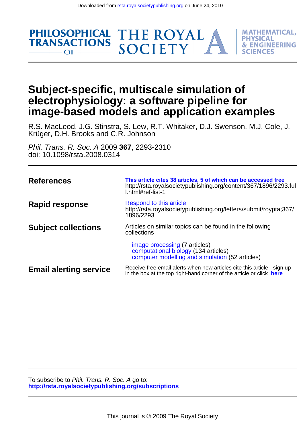

# **image-based models and application examples electrophysiology: a software pipeline for Subject-specific, multiscale simulation of**

Krüger, D.H. Brooks and C.R. Johnson R.S. MacLeod, J.G. Stinstra, S. Lew, R.T. Whitaker, D.J. Swenson, M.J. Cole, J.

doi: 10.1098/rsta.2008.0314 Phil. Trans. R. Soc. A 2009 **367**, 2293-2310

| <b>References</b>             | This article cites 38 articles, 5 of which can be accessed free<br>http://rsta.royalsocietypublishing.org/content/367/1896/2293.ful<br>l.html#ref-list-1 |
|-------------------------------|----------------------------------------------------------------------------------------------------------------------------------------------------------|
| Rapid response                | Respond to this article<br>http://rsta.royalsocietypublishing.org/letters/submit/roypta;367/<br>1896/2293                                                |
| <b>Subject collections</b>    | Articles on similar topics can be found in the following<br>collections                                                                                  |
|                               | image processing (7 articles)<br>computational biology (134 articles)<br>computer modelling and simulation (52 articles)                                 |
| <b>Email alerting service</b> | Receive free email alerts when new articles cite this article - sign up<br>in the box at the top right-hand corner of the article or click here          |

**<http://rsta.royalsocietypublishing.org/subscriptions>** To subscribe to Phil. Trans. R. Soc. A go to: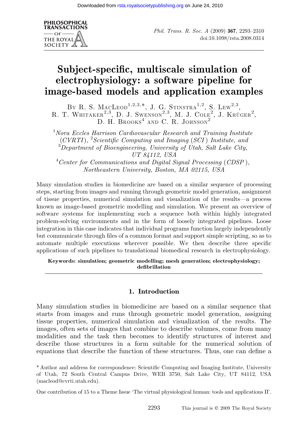

Phil. Trans. R. Soc. A (2009) 367, 2293–2310 doi:10.1098/rsta.2008.0314

# Subject-specific, multiscale simulation of electrophysiology: a software pipeline for image-based models and application examples

BY R. S. MACLEOD<sup>1,2,3,\*</sup>, J. G. STINSTRA<sup>1,2</sup>, S. LEW<sup>2,3</sup>, R. T. WHITAKER<sup>2,3</sup>, D. J. SWENSON<sup>2,3</sup>, M. J. COLE<sup>2</sup>, J. KRÜGER<sup>2</sup>, D. H. BROOKS<sup>4</sup> AND C. R. JOHNSON<sup>2</sup>

<sup>1</sup>Nora Eccles Harrison Cardiovascular Research and Training Institute (CVRTI), <sup>2</sup>Scientific Computing and Imaging (SCI) Institute, and <sup>3</sup>Department of Bioengineering, University of Utah, Salt Lake City, UT 84112, USA

<sup>4</sup> Center for Communications and Digital Signal Processing (CDSP), Northeastern University, Boston, MA 02115, USA

Many simulation studies in biomedicine are based on a similar sequence of processing steps, starting from images and running through geometric model generation, assignment of tissue properties, numerical simulation and visualization of the results—a process known as image-based geometric modelling and simulation. We present an overview of software systems for implementing such a sequence both within highly integrated problem-solving environments and in the form of loosely integrated pipelines. Loose integration in this case indicates that individual programs function largely independently but communicate through files of a common format and support simple scripting, so as to automate multiple executions wherever possible. We then describe three specific applications of such pipelines to translational biomedical research in electrophysiology.

Keywords: simulation; geometric modelling; mesh generation; electrophysiology; defibrillation

# 1. Introduction

Many simulation studies in biomedicine are based on a similar sequence that starts from images and runs through geometric model generation, assigning tissue properties, numerical simulation and visualization of the results. The images, often sets of images that combine to describe volumes, come from many modalities and the task then becomes to identify structures of interest and describe those structures in a form suitable for the numerical solution of equations that describe the function of these structures. Thus, one can define a

\* Author and address for correspondence: Scientific Computing and Imaging Institute, University of Utah, 72 South Central Campus Drive, WEB 3750, Salt Lake City, UT 84112, USA (macleod@cvrti.utah.edu).

One contribution of 15 to a Theme Issue 'The virtual physiological human: tools and applications II'.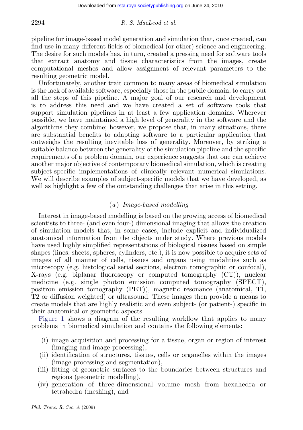# $R. S. MacLeod \text{ et al.}$

pipeline for image-based model generation and simulation that, once created, can find use in many different fields of biomedical (or other) science and engineering. The desire for such models has, in turn, created a pressing need for software tools that extract anatomy and tissue characteristics from the images, create computational meshes and allow assignment of relevant parameters to the resulting geometric model.

Unfortunately, another trait common to many areas of biomedical simulation is the lack of available software, especially those in the public domain, to carry out all the steps of this pipeline. A major goal of our research and development is to address this need and we have created a set of software tools that support simulation pipelines in at least a few application domains. Wherever possible, we have maintained a high level of generality in the software and the algorithms they combine; however, we propose that, in many situations, there are substantial benefits to adapting software to a particular application that outweighs the resulting inevitable loss of generality. Moreover, by striking a suitable balance between the generality of the simulation pipeline and the specific requirements of a problem domain, our experience suggests that one can achieve another major objective of contemporary biomedical simulation, which is creating subject-specific implementations of clinically relevant numerical simulations. We will describe examples of subject-specific models that we have developed, as well as highlight a few of the outstanding challenges that arise in this setting.

# (a ) Image-based modelling

Interest in image-based modelling is based on the growing access of biomedical scientists to three- (and even four-) dimensional imaging that allows the creation of simulation models that, in some cases, include explicit and individualized anatomical information from the objects under study. Where previous models have used highly simplified representations of biological tissues based on simple shapes (lines, sheets, spheres, cylinders, etc.), it is now possible to acquire sets of i[mages of a](#page-3-0)ll manner of cells, tissues and organs using modalities such as microscopy (e.g. histological serial sections, electron tomographic or confocal), X-rays (e.g. biplanar fluoroscopy or computed tomography (CT)), nuclear medicine (e.g. single photon emission computed tomography (SPECT), positron emission tomography (PET)), magnetic resonance (anatomical, T1, T2 or diffusion weighted) or ultrasound. These images then provide a means to create models that are highly realistic and even subject- (or patient-) specific in their anatomical or geometric aspects.

Figure 1 shows a diagram of the resulting workflow that applies to many problems in biomedical simulation and contains the following elements:

- (i) image acquisition and processing for a tissue, organ or region of interest (imaging and image processing),
- (ii) identification of structures, tissues, cells or organelles within the images (image processing and segmentation),
- (iii) fitting of geometric surfaces to the boundaries between structures and regions (geometric modelling),
- (iv) generation of three-dimensional volume mesh from hexahedra or tetrahedra (meshing), and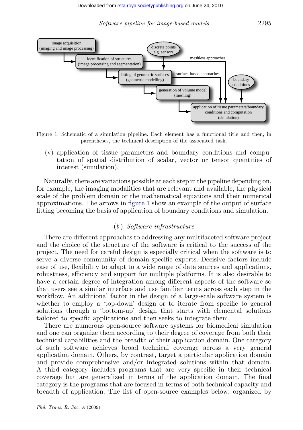Software pipeline for image-based models 2295

<span id="page-3-0"></span>

Figure 1. Schematic of a simulation pipeline. Each element has a functional title and then, in parentheses, the technical description of the associated task.

(v) application of tissue parameters and boundary conditions and computation of spatial distribution of scalar, vector or tensor quantities of interest (simulation).

Naturally, there are variations possible at each step in the pipeline depending on, for example, the imaging modalities that are relevant and available, the physical scale of the problem domain or the mathematical equations and their numerical approximations. The arrows in figure 1 show an example of the output of surface fitting becoming the basis of application of boundary conditions and simulation.

## (b ) Software infrastructure

There are different approaches to addressing any multifaceted software project and the choice of the structure of the software is critical to the success of the project. The need for careful design is especially critical when the software is to serve a diverse community of domain-specific experts. Decisive factors include ease of use, flexibility to adapt to a wide range of data sources and applications, robustness, efficiency and support for multiple platforms. It is also desirable to have a certain degree of integration among different aspects of the software so that users see a similar interface and use familiar terms across each step in the workflow. An additional factor in the design of a large-scale software system is whether to employ a 'top-down' design or to iterate from specific to general solutions through a 'bottom-up' design that starts with elemental solutions tailored to specific applications and then seeks to integrate them.

There are numerous open-source software systems for biomedical simulation and one can organize them according to their degree of coverage from both their technical capabilities and the breadth of their application domain. One category of such software achieves broad technical coverage across a very general application domain. Others, by contrast, target a particular application domain and provide comprehensive and/or integrated solutions within that domain. A third category includes programs that are very specific in their technical coverage but are generalized in terms of the application domain. The final category is the programs that are focused in terms of both technical capacity and breadth of application. The list of open-source examples below, organized by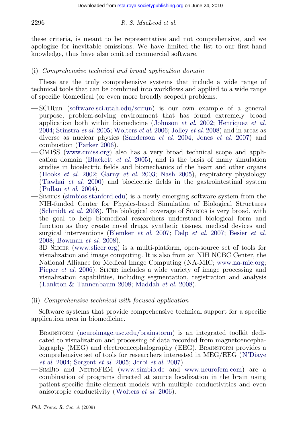## 2296 R. S. MacLeod et al.

these criteria, is meant to be representative and not comprehensive, and we apologize for inevitable omissions. We have limited the list to our first-hand knowledge, t[hus](http://software.sci.utah.edu/scirun) [have](http://software.sci.utah.edu/scirun) [also](http://software.sci.utah.edu/scirun) [omitted](http://software.sci.utah.edu/scirun) [comm](http://software.sci.utah.edu/scirun)ercial software.

## (i) [Com](#page-16-0)[prehensive technical and broad applica](#page-18-0)[tion domain](#page-17-0)

These are the truly compre[hensive systems that](#page-18-0) i[nclude a wide ran](#page-17-0)ge of technical tools t[hat can be co](#page-17-0)mbined into workflows and applied to a wide range of specific [biomedical \(or e](http://www.cmiss.org)ven more broadly scoped) problems.

- SCIRun (softw[are.sci.utah.edu/sciru](#page-16-0)n) is our own example of a general [purpose, problem-solving environment](#page-16-0) [that has](#page-17-0) found extremely broad [application both with](#page-18-0)in biomedicine (Johnson et al. 2002; Henriquez et al. 2004; [Stinstra](#page-18-0) et al. 2005; Wolters et al. 2006; Jolley et al. 2008) and in areas as diverse [as nuclear physics \(S](http://simbios.stanford.edu)anderson et al. 2004; Jones et al. 2007) and combustion (Parker 2006).
- [CMISS \(www.cmiss.](#page-18-0)org) also has a very broad technical scope and application domain (Blackett et al. 2005), and is the basis of many simulation studies in bioelectric fields and biomechanics of the heart and other organs (Hooks et al. 2002; Garny et al. 2003; Nas[h 2005\), respirato](#page-16-0)r[y physiology](#page-15-0) [\(Taw](#page-15-0)hai et al[. 2000\) and](#page-16-0) [bioelectric](#page-16-0) [fields](#page-16-0) in the gastrointestinal system (Pullan et al[. 2004\).](http://www.slicer.org)
- SIMBIOS (simbios.stanford.edu) is a newly emerging software system from the NIH-funded Center for Physics-based Simulation of Biol[ogical Structures](http://www.na-mic.org) (Schmidt et al. 2008). The biological coverage of SIMBIOS is very broad, with [the](#page-17-0) [goal](#page-17-0) [to](#page-17-0) [help](#page-17-0) biomedical researchers understand biological form and f[unction as they create novel drugs, synthetic tissu](#page-17-0)es, medical devices and surgical interventions (Blemker et al. 2007; Delp et al. 2007; Besier et al. 2008; Bowman et al. 2008).
- 3D SLICER (www.slicer.org) is a multi-platform, open-source set of tools for visualization and image computing. It is also from an NIH NCBC Center, the National Alliance for Medical Image Computing (NA-MIC; www.na-mic.org; Pieper *et al.* 2006). SLICER includes a wide variety of image processing and visualization [capabilities, including segmenta](http://neuroimage.usc.edu/brainstorm)tion, registration and analysis (Lankton & Tannenbaum 2008; Maddah et al. 2008).

## (ii) Comprehe[nsive technical with](#page-18-0) [focused applicati](#page-17-0)on

[Software](#page-17-0) [sy](#page-17-0)stems that prov[ide comprehens](http://www.simbio.de)ive te[chnical support for a](http://www.neurofem.com) specific application area in biomedicine.

- BRAINSTORM (neuroimage.[usc.edu/brainstorm](#page-18-0)) is an integrated toolkit dedicated to visualization and processing of data recorded from magnetoencephalography (MEG) and electroencephalography (EEG). BRAINSTORM provides a comprehensive set of tools for researchers interested in MEG/EEG (N'Diaye et al. 2004; Sergent et al. 2005; Jerbi et al. 2007).
- SIMBIO and NEUROFEM (www.simbio.de and www.neurofem.com) are a combination of programs directed at source localization in the brain using patient-specific finite-element models with multiple conductivities and even anisotropic conductivity (Wolters et al. 2006).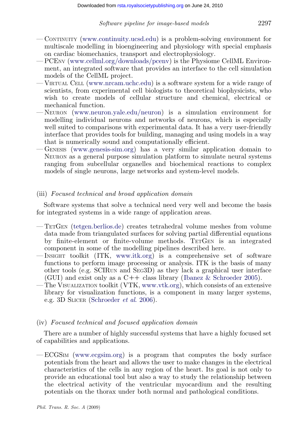- CONTINUITY (www.continuity.ucsd.edu) is a problem-solving environment for multiscale modelling in bioengineering and physiology with special emphasis on cardia[c biomechanics, transport and](http://www.neuron.yale.edu/neuron) electrophysiology.
- PCENV (www.cellml.org/downloads/pcenv) is the Physiome CellML Environment, an integrated software that provides an interface to the cell simulation models of the CellML project.
- VIRTUAL CELL (www.nrcam.uchc.edu) is a software system for a wide range of scientists, [from experimental c](http://www.genesis-sim.org)ell biologists to theoretical biophysicists, who wish to create models of cellular structure and chemical, electrical or mechanical function.
- NEURON (www.neuron.yale.edu/neuron) is a simulation environment for modelling individual neurons and networks of neurons, which is especially well suited to comparisons with experimental data. It has a very user-friendly interface that provides tools for building, managing and using models in a way that is numerically sound and computationally efficient.
- GENESIS (www.genesis-sim.org) has a very similar application domain to NEURON as a general purpose simulation platform to simulate neural systems ranging from subcellular organelles and biochemical reactions to complex models of [single neurons, l](http://tetgen.berlios.de)arge networks and system-level models.

## (iii) Focused technical and broad application domain

Software systems that s[olve](http://www.itk.org) [a](http://www.itk.org) [techni](http://www.itk.org)cal need very well and become the basis for integrated systems in a wide range of application areas.

- TETGEN (tetgen.berlios.de) creat[es tetrahedra](http://www.vtk.org)l [volume](#page-17-0) [meshes](#page-17-0) [from](#page-17-0) [vol](#page-17-0)ume data made from triangulated surfaces for solving partial differential equations by finite-elem[ent or finite-volume](#page-18-0) methods. TETGEN is an integrated component in some of the modelling pipelines described here.
- INSIGHT toolkit (ITK, www.itk.org) is a comprehensive set of software functions to perform image processing or analysis. ITK is the basis of many other tools (e.g. SCIRUN and SEG3D) as they lack a graphical user interface (GUI) and exist only as a C++ class library (Ibanez & Schroeder 2005).
- The VISUALIZATION toolkit (VTK, www.vtk.org), which consists of an extensive library for visualization functions, is a component in many larger systems, e.g. 3D SLICER [\(Schroeder](http://www.ecgsim.org) et al. 2006).

# (iv) Focused technical and focused application domain

There are a number of highly successful systems that have a highly focused set of capabilities and applications.

— ECGSIM (www.ecgsim.org) is a program that computes the body surface potentials from the heart and allows the user to make changes in the electrical characteristics of the cells in any region of the heart. Its goal is not only to provide an educational tool but also a way to study the relationship between the electrical activity of the ventricular myocardium and the resulting potentials on the thorax under both normal and pathological conditions.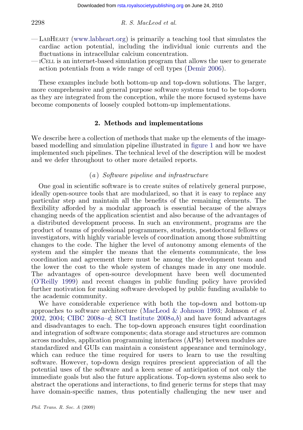# $R. S. MacLeod \text{ et al.}$

- LABHEART (www.labheart.org) is primarily a teaching tool that simulates the cardiac action potential, including the individual ionic currents and the fluctuations in intracellular calcium concentration.
- ICELL is an internet-based simulation program that allows the user to generate action potentials from a wide range of cell types (Demir 2006).

These examples include both bottom-up and top-down solutions. The larger, more comprehensive and general purpose software sys[tems ten](#page-3-0)d to be top-down as they are integrated from the conception, while the more focused systems have become components of loosely coupled bottom-up implementations.

# 2. Methods and implementations

We describe here a collection of methods that make up the elements of the imagebased modelling and simulation pipeline illustrated in figure 1 and how we have implemented such pipelines. The technical level of the description will be modest and we defer throughout to other more detailed reports.

# (a ) Software pipeline and infrastructure

One goal in scientific software is to create suites of relatively general purpose, ideally open-source tools that are modularized, so that it is easy to replace any particular step and maintain all the benefits of the remaining elements. The flexibility afforded by a modular approach is essential because of the always changing needs of the application scientist and also because of the advantages of [a distributed d](#page-17-0)evelopment process. In such an environment, programs are the product of teams of professional programmers, students, postdoctoral fellows or investigators, with highly variable levels of coordination among those submitting changes to the code. The higher the level of autonomy among elements of the system and the simpler the means [that the elements commun](#page-17-0)icate, the less [coordinatio](#page-17-0)[n and agreemen](#page-16-0)t [there must be amon](#page-18-0)g the development team and the lower the cost to the whole system of changes made in any one module. The advantages of open-source development have been well documented (O'Reilly 1999) and recent changes in public funding policy have provided further motivation for making software developed by public funding available to the academic community.

We have considerable experience with both the top-down and bottom-up approaches to software architecture (MacLeod & Johnson 1993; Johnson *et al.*) 2002, 2004; CIBC  $2008a-d$ ; SCI Institute  $2008a,b$  and have found advantages and disadvantages to each. The top-down approach ensures tight coordination and integration of software components; data storage and structures are common across modules, application programming interfaces (APIs) between modules are standardized and GUIs can maintain a consistent appearance and terminology, which can reduce the time required for users to learn to use the resulting software. However, top-down design requires prescient appreciation of all the potential uses of the software and a keen sense of anticipation of not only the immediate goals but also the future applications. Top-down systems also seek to abstract the operations and interactions, to find generic terms for steps that may have domain-specific names, thus potentially challenging the new user and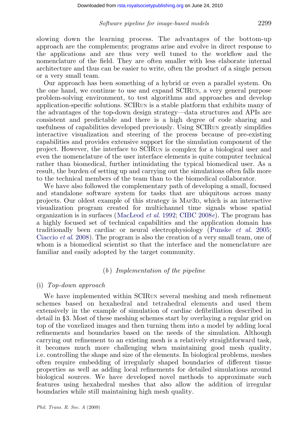## Software pipeline for image-based models 2299

slowing down the learning process. The advantages of the bottom-up approach are the complements; programs arise and evolve in direct response to the applications and are thus very well tuned to the workflow and the nomenclature of the field. They are often smaller with less elaborate internal architecture and thus can be easier to write, often the product of a single person or a very small team.

Our approach has been something of a hybrid or even a parallel system. On the one hand, we continue to use and expand SCIRUN, a very general purpose problem-solving environment, to test algorithms and approaches and develop application-specific solutions. SCIRUN is a stable platform that exhibits many of the advantages of the top-down design strategy—data structures and APIs are consistent and predictable and there is a high degree of code sharing and usefulness of capabilities developed previously. Using SCIRUN greatly simplifies interactive visualization and steering of the process because of pre-existing capabilities and provides extensive support for the simulation component of the project. However, the interface to SCIRUN is complex for a biological user and even the nomenclature of t[he user interface elem](#page-17-0)[ents is quite](#page-16-0) computer technical rather than biomedical, further intimidating the typical biomedical user. As a result, the burden of setting up and carrying out the simul[ations often falls more](#page-18-0) [to the technical m](#page-16-0)embers of the team than to the biomedical collaborator.

We have also followed the complementary path of developing a small, focused and standalone software system for tasks that are ubiquitous across many projects. Our oldest example of this strategy is MAP3D, which is an interactive visualization program created for multichannel time signals whose spatial organization is in surfaces (MacLeod et al. 1992; CIBC 2008e). The program has a highly focused set of technical capabilities and the application domain has traditionally been cardiac or neural electrophysiology (Punske et al. 2005; Ciaccio et al. 2008). The program is also the creation of a very small team, one of whom is a biomedical scientist so that the interface and the nomenclature are familiar and easily adopted by the target community.

## $(b)$  Implementation of the pipeline

#### (i) Top-down approach

We have implemented within SCIRUN several meshing and mesh refinement schemes based on hexahedral and tetrahedral elements and used them extensively in the example of simulation of cardiac defibrillation described in detail in §3. Most of these meshing schemes start by overlaying a regular grid on top of the voxelized images and then turning them into a model by adding local refinements and boundaries based on the needs of the simulation. Although carrying out refinement to an existing mesh is a relatively straightforward task, it becomes much more challenging when maintaining good mesh quality, i.e. controlling the shape and size of the elements. In biological problems, meshes often require embedding of irregularly shaped boundaries of different tissue properties as well as adding local refinements for detailed simulations around biological sources. We have developed novel methods to approximate such features using hexahedral meshes that also allow the addition of irregular boundaries while still maintaining high mesh quality.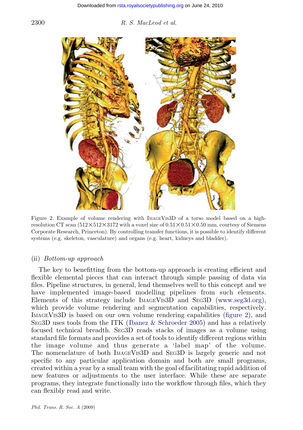2300 R. S. MacLeod et al.



Figure 2. Example of volume rendering with IMAGEVIS3D of a torso model based on a highresolution CT scan  $(512 \times 512 \times 3172$  with a voxel size of  $0.51 \times 0.51 \times 0.50$  mm, courtesy of Siemens Corporate Research, Princeton). By controlling transfer functions, it is possible to identify different systems (e.g. skeleton, vasculature) and organs (e.g. heart, kidneys and blad[der\).](http://www.seg3d.org)

## (ii) Bottom-up approach

The key to benefitting from t[he](#page-17-0) [bottom-up](#page-17-0) [approach](#page-17-0) [is](#page-17-0) creating efficient and flexible elemental pieces that can interact through simple passing of data via files. Pipeline structures, in general, lend themselves well to this concept and we have implemented image-based modelling pipelines from such elements. Elements of this strategy include IMAGEVIS3D and SEG3D (www.seg3d.org), which provide volume rendering and segmentation capabilities, respectively. IMAGEVIS3D is based on our own volume rendering capabilities (figure 2), and SEG3D uses tools from the ITK (Ibanez & Schroeder 2005) and has a relatively focused technical breadth. SEG3D reads stacks of images as a volume using standard file formats and provides a set of tools to identify different regions within the image volume and thus generate a 'label map' of the volume. The nomenclature of both IMAGEVIS3D and SEG3D is largely generic and not specific to any particular application domain and both are small programs, created within a year by a small team with the goal of facilitating rapid addition of new features or adjustments to the user interface. While these are separate programs, they integrate functionally into the workflow through files, which they can flexibly read and write.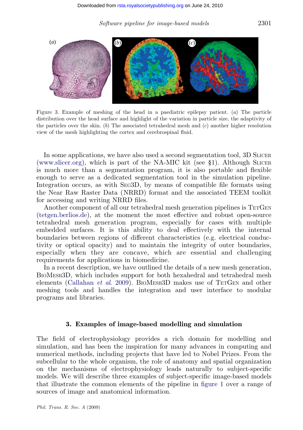Software pipeline for image-based models 2301

<span id="page-9-0"></span>

[Figure](http://www.slicer.org) [3.](http://www.slicer.org) [Example](http://www.slicer.org) of meshing of the head in a paediatric epilepsy patient. (a) The particle distribution over the head surface and highlight of the variation in particle size, the adaptivity of the particles over the skin. (b) The associated tetrahedral mesh and  $(c)$  another higher resolution view of the mesh highlighting the cortex and cerebrospinal fluid.

[In some applica](http://tetgen.berlios.de)tions, we have also used a second segmentation tool, 3D SLICER (www.slicer.org), which is part of the NA-MIC kit (see §1). Although SLICER is much more than a segmentation program, it is also portable and flexible enough to serve as a dedicated segmentation tool in the simulation pipeline. Integration occurs, as with SEG3D, by means of compatible file formats using the Near Raw Raster Data (NRRD) format and the associated TEEM toolkit for accessing and writing NRRD files.

Another component of all our tetrahedral mesh generation pipelines is TETGEN (tetgen.berlios.de), at the moment the most effective and robust open-source tetrahedr[al mesh generation](#page-16-0) program, especially for cases with multiple embedded surfaces. It is this ability to deal effectively with the internal boundaries between regions of different characteristics (e.g. electrical conductivity or optical opacity) and to maintain the integrity of outer boundaries, especially when they are concave, which are essential and challenging requirements for applications in biomedicine.

In a recent description, we have outlined the details of a new mesh generation, BIOMESH3D, which includes support for both hexahedral and tetrahedral mesh elements (Callahan et al. 2009). BIOMESH3D makes use of TETGEN and other meshing tools and handles the integration and user interface to modular programs and libraries.

## 3. Examples of image-based modelling a[nd simul](#page-3-0)ation

The field of electrophysiology provides a rich domain for modelling and simulation, and has been the inspiration for many advances in computing and numerical methods, including projects that have led to Nobel Prizes. From the subcellular to the whole organism, the role of anatomy and spatial organization on the mechanisms of electrophysiology leads naturally to subject-specific models. We will describe three examples of subject-specific image-based models that illustrate the common elements of the pipeline in figure 1 over a range of sources of image and anatomical information.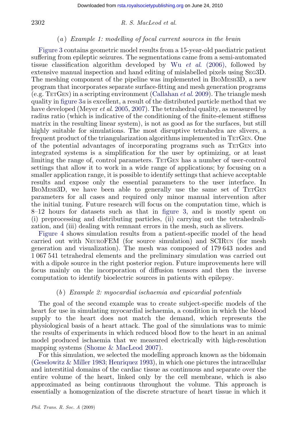# $R. S. MacLeod \text{ et al.}$

## $(a)$  Example 1: modelling of foc[al current sources in](#page-16-0) the brain

Figure 3 [contain](#page-9-0)s geometr[ic model res](#page-17-0)ults from a 15-year-old paediatric patient suffering from epileptic seizures. The segmentations came from a semi-automated tissue classification algorithm developed by Wu  $et \ al.$  (2006), followed by extensive manual inspection and hand editing of mislabelled pixels using SEG3D. The meshing component of the pipeline was implemented in BIOMESH3D, a new program that incorporates separate surface-fitting and mesh generation programs (e.g. TETGEN) in a scripting environment (Callahan *et al.* 2009). The triangle mesh quality in figure  $3a$  is excellent, a result of the distributed particle method that we have developed (Meyer *et al.* 2005, 2007). The tetrahedral quality, as measured by radius ratio (which is indicative of the conditioning of the finite-element stiffness matrix in the resulting linear system), is not as good as for the surfaces, but still highly suitable for simulations. The most disruptive tetrahedra are slivers, a frequent product of the triangularization algorithms implemented in TETGEN. One of the potential advantages of incorporating programs such as TETGEN into integrated systems is a simplification for t[he user](#page-9-0) by optimizing, or at least limiting the range of, control parameters. TETGEN has a number of user-control settings that allow it to work in a wide range of applications; by focusing on a s[maller app](#page-12-0)lication range, it is possible to identify settings that achieve acceptable results and expose only the essential parameters to the user interface. In BIOMESH3D, we have been able to generally use the same set of TETGEN parameters for all cases and required only minor manual intervention after the initial tuning. Future research will focus on the computation time, which is 8–12 hours for datasets such as that in figure 3, and is mostly spent on (i) preprocessing and distributing particles, (ii) carrying out the tetrahedralization, and (iii) dealing with remnant errors in the mesh, such as slivers.

Figure 4 shows simulation results from a patient-specific model of the head carried out with NEUROFEM (for source simulation) and SCIRUN (for mesh generation and visualization). The mesh was composed of 179 643 nodes and 1 067 541 tetrahedral elements and the preliminary simulation was carried out with a dipole source in the right posterior region. Future improvements here will focus mainly on the incorporation of diffusion tensors and then the inverse computation to identify bioelectric sources in patients with epilepsy.

## $(b)$  Exam[ple 2: myocardial ischaem](#page-18-0)ia and epicardial potentials

[The goal of the second example was to](#page-16-0) create subject-specific models of the heart for use in simulating myocardial ischaemia, a condition in which the blood supply to the heart does not match the demand, which represents the physiological basis of a heart attack. The goal of the simulations was to mimic the results of experiments in which reduced blood flow to the heart in an animal model produced ischaemia that we measured electrically with high-resolution mapping systems (Shome & MacLeod 2007).

For this simulation, we selected the modelling approach known as the bidomain (Geselowitz & Miller 1983; Henriquez 1993), in which one pictures the intracellular and interstitial domains of the cardiac tissue as continuous and separate over the entire volume of the heart, linked only by the cell membrane, which is also approximated as being continuous throughout the volume. This approach is essentially a homogenization of the discrete structure of heart tissue in which it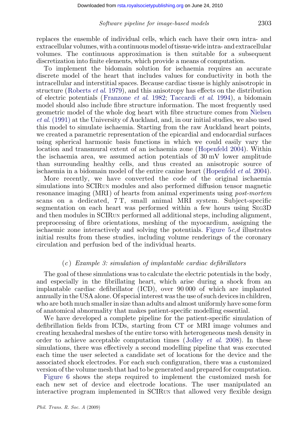#### Software pipeline for image-based models 2303

replaces t[he](#page-18-0) [ensemble](#page-18-0) [of individual cells, wh](#page-16-0)i[ch each have their o](#page-18-0)wn intra- and extracellular volumes, with a continuous model of tissue-wideintra- and extracellular volumes. The continuous approximation is then suitable for a sub[sequent](#page-17-0) [discretizatio](#page-17-0)n into finite elements, which provide a means of computation.

To implement the bidomain solution for ischaemia requires an accurate discrete model of the heart that includes values for conductivity in both the intracellular and interstitial spaces. Because cardiac tissue is highly anisotropic in structure (Roberts et al. 1979), and this anisotropy has [effects on the dis](#page-16-0)tribution of electric potentials (Franzone et al. 1982; Taccardi et al. 1994), a bidomain model should also include fibre structure information. The most frequently used geometric model of the whole dog heart with fibre struct[ure comes from](#page-17-0) Nielsen et al. (1991) at the University of Auckland, and, in our initial studies, we also used this model to simulate ischaemia. Starting from the raw Auckland heart points, we created a parametric representation of the epicardial and endocardial surfaces using spherical harmonic basis functions in which we could easily vary the location and transmural extent of an ischaemia zone (Hopenfeld 2004). Within the ischaemia area, we assumed action potentials of 30 mV lower amplitude than surrounding healthy cells, and thus created an anisotropic source of ischaemia in a bidomain model of the entire canine heart ([Hopenfel](#page-13-0)d et al. 2004).

More recently, we have converted the code of the original ischaemia simulations into SCIRUN modules and also performed diffusion tensor magnetic resonance imaging (MRI) of hearts from animal experiments using post-mortem scans on a dedicated, 7 T, small animal MRI system. Subject-specific segmentation on each heart was performed within a few hours using SEG3D and then modules in SCIRUN performed all additional steps, including alignment, preprocessing of fibre orientations, meshing of the myocardium, assigning the ischaemic zone interactively and solving the potentials. Figure  $5c, d$  illustrates initial results from these studies, including volume renderings of the coronary circulation and perfusion bed of the individual hearts.

## $(c)$  Example 3: simulation of implantable cardiac defibrillators

The goal of these simulations was to calculate the electric potentials in the body, and especially in the fibrillating heart, which a[rise during a shoc](#page-17-0)k from an implantable cardiac defibrillator (ICD), over 90 000 of which are implanted annually in the USA alone. Of special interest was the use of such devices in children, who are both much smaller in size than adults and almost uniformly have some form of anatomical abnormality that makes patient-specific modelling essential.

[We have](#page-13-0) developed a complete pipeline for the patient-specific simulation of defibrillation fields from ICDs, starting from CT or MRI image volumes and creating hexahedral meshes of the entire torso with heterogeneous mesh density in order to achieve acceptable computation times (Jolley *et al.* 2008). In these simulations, there was effectively a second modelling pipeline that was executed each time the user selected a candidate set of locations for the device and the associated shock electrodes. For each such configuration, there was a customized version of the volume mesh that had to be generated and prepared for computation.

Figure 6 shows the steps required to implement the customized mesh for each new set of device and electrode locations. The user manipulated an interactive program implemented in SCIRUN that allowed very flexible design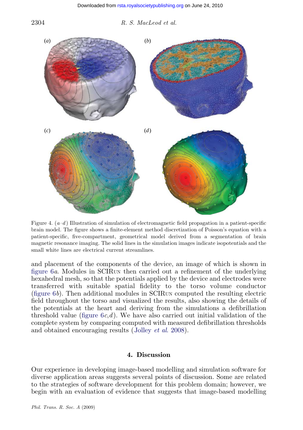<span id="page-12-0"></span>

Figure 4.  $(a-d)$  Illustration of simulation of electromagnetic field propagation in a patient-specific brain model. The figure shows a finite-element method discretization of Poisson's equation with a [patient-spe](#page-13-0)cific, five-compartment, geometrical model derived from a segmentation of brain magnetic resonance imaging. The solid lines in the simulation images indicate isopotentials and the small white lines are electrical current streamlines.

and placement o[f](#page-13-0) [the](#page-13-0) [com](#page-13-0)ponents of the device, an image of which is shown in figure 6a. Modules in SCIRUN the[n carried out a re](#page-17-0)finement of the underlying hexahedral mesh, so that the potentials applied by the device and electrodes were transferred with suitable spatial fidelity to the torso volume conductor (figure  $6b$ ). Then additional modules in SCIRUN computed the resulting electric field throughout the torso and visualized the results, also showing the details of the potentials at the heart and deriving from the simulations a defibrillation threshold value (figure  $6c, d$ ). We have also carried out initial validation of the complete system by comparing computed with measured defibrillation thresholds and obtained encouraging results (Jolley et al. 2008).

## 4. Discussion

Our experience in developing image-based modelling and simulation software for diverse application areas suggests several points of discussion. Some are related to the strategies of software development for this problem domain; however, we begin with an evaluation of evidence that suggests that image-based modelling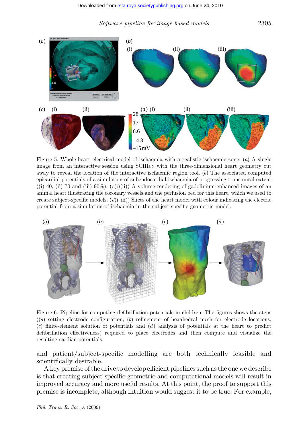Software pipeline for image-based models 2305

<span id="page-13-0"></span>

Figure 5. Whole-heart electrical model of ischaemia with a realistic ischaemic zone. (a) A single image from an interactive session using SCIRUN with the three-dimensional heart geometry cut away to reveal the location of the interactive ischaemic region tool. (b) The associated computed epicardial potentials of a simulation of subendocardial ischaemia of progressing transmural extent  $((i)$  40, (ii) 70 and (iii) 90%).  $(c(i)(ii))$  A volume rendering of gadolinium-enhanced images of an animal heart illustrating the coronary vessels and the perfusion bed for this heart, which we used to create subject-specific models.  $(d(i-iii))$  Slices of the heart model with colour indicating the electric potential from a simulation of ischaemia in the subject-specific geometric model.



Figure 6. Pipeline for computing defibrillation potentials in children. The figures shows the steps  $(a)$  setting electrode configuration,  $(b)$  refinement of hexahedral mesh for electrode locations,  $(c)$  finite-element solution of potentials and  $(d)$  analysis of potentials at the heart to predict defibrillation effectiveness) required to place electrodes and then compute and visualize the resulting cardiac potentials.

and patient/subject-specific modelling are both technically feasible and scientifically desirable.

A key premise of the drive to develop efficient pipelines such as the one we describe is that creating subject-specific geometric and computational models will result in improved accuracy and more useful results. At this point, the proof to support this premise is incomplete, although intuition would suggest it to be true. For example,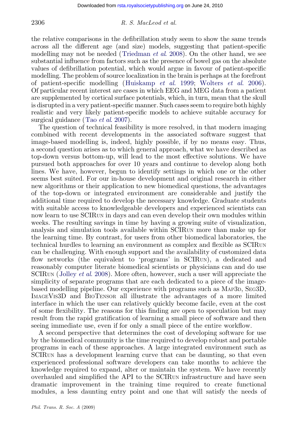## 2306 R[. S. MacLeod et al.](#page-17-0)

the relative comparisons in the defibrillation study seem to show the same trends across all the different age (and size) models, suggesting that patient-specific modelling may not be needed (Triedman *et al.* 2008). On the other hand, we see substantial influen[ce from factors s](#page-18-0)uch as the presence of bowel gas on the absolute values of defibrillation potential, which would argue in favour of patient-specific modelling. The problem of source localization in the brain is perhaps at the forefront of patient-specific modelling (Huiskamp et al. 1999; Wolters et al. 2006). Of particular recent interest are cases in which EEG and MEG data from a patient are supplemented by cortical surface potentials, which, in turn, mean that the skull is disrupted in a very patient-specific manner. Such cases seem to require both highly realistic and very likely patient-specific models to achieve suitable accuracy for surgical guidance (Tao *et al.* 2007).

The question of technical feasibility is more resolved, in that modern imaging combined with recent developments in the associated software suggest that image-based modelling is, indeed, highly possible, if by no means easy. Thus, a second question arises as to which general approach, what we have described as top-down versus bottom-up, will lead to the most effective solutions. We have pursued both approaches for over 10 years and continue to develop along both lines. We have, however, begun to identify settings in which one or the other seems best suited. For our in-house development and original research in either new algorithms or their application to new biomedical questions, the advantages of the top-down or integrated environment are considerable and justify the additional time required to develop the necessary knowledge. Graduate students with suitable access to knowledgeable developers and experienced scientists can now lear[n to use SCIRUN](#page-17-0) in days and can even develop their own modules within weeks. The resulting savings in time by having a growing suite of visualization, analysis and simulation tools available within SCIRUN more than make up for the learning time. By contrast, for users from other biomedical laboratories, the technical hurdles to learning an environment as complex and flexible as SCIRUN can be challenging. With enough support and the availability of customized data flow networks (the equivalent to 'programs' in SCIRUN), a dedicated and reasonably computer literate biomedical scientists or physicians can and do use SCIRUN (Jolley *et al.* 2008). More often, however, such a user will appreciate the simplicity of separate programs that are each dedicated to a piece of the imagebased modelling pipeline. Our experience with programs such as MAP3D, SEG3D, IMAGEVIS3D and BIOTENSOR all illustrate the advantages of a more limited interface in which the user can relatively quickly become facile, even at the cost of some flexibility. The reasons for this finding are open to speculation but may result from the rapid gratification of learning a small piece of software and then seeing immediate use, even if for only a small piece of the entire workflow.

A second perspective that determines the cost of developing software for use by the biomedical community is the time required to develop robust and portable programs in each of these approaches. A large integrated environment such as SCIRUN has a development learning curve that can be daunting, so that even experienced professional software developers can take months to achieve the knowledge required to expand, alter or maintain the system. We have recently overhauled and simplified the API to the SCIRUN infrastructure and have seen dramatic improvement in the training time required to create functional modules, a less daunting entry point and one that will satisfy the needs of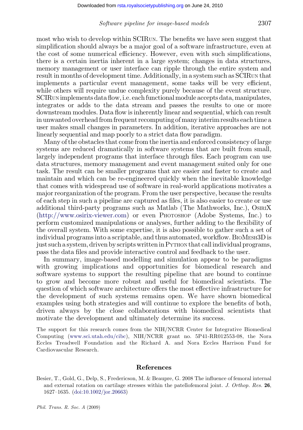#### Software pipeline for image-based models 2307

<span id="page-15-0"></span>most who wish to develop within SCIRUN. The benefits we have seen suggest that simplification should always be a major goal of a software infrastructure, even at the cost of some numerical efficiency. However, even with such simplifications, there is a certain inertia inherent in a large system; changes in data structures, memory management or user interface can ripple through the entire system and result in months of development time. Additionally, in a system such as SCIRUN that implements a particular event management, some tasks will be very efficient, while others will require undue complexity purely because of the event structure. SCIRUN implements data flow, i.e. each functionalmodule accepts data, manipulates, integrates or adds to the data stream and passes the results to one or more downstream modules. Data flow is inherently linear and sequential, which can result in unwanted overhead from frequent recomputing of manyinterim results each time a user makes small changes in parameters. In addition, iterative approaches are not linearly sequential and map poorly to a strict data flow paradigm.

Many of the obstacles that come from the inertia and enforced consistency of large systems are reduced dramatically in software systems that are built from small, l[argely independent programs t](http://www.osirix-viewer.com)hat interface through files. Each program can use data structures, memory management and event management suited only for one task. The result can be smaller programs that are easier and faster to create and maintain and which can be re-engineered quickly when the inevitable knowledge that comes with widespread use of software in real-world applications motivates a major reorganization of the program. From the user perspective, because the results of each step in such a pipeline are captured as files, it is also easier to create or use additional third-party programs such as Matlab (The Mathworks, Inc.), OSIRIX (http://www.osirix-viewer.com) or even PHOTOSHOP (Adobe Systems, Inc.) to perform customized manipulations or analyses, further adding to the flexibility of the overall system. With some expertise, it is also possible to gather such a set of individual programs into a scriptable, and thus automated, workflow. BIOMESH3D is just such a system, driven by scripts written inPYTHON that call individual programs, pass the data files and provide interactive control and feedback to the user.

In summary, image-based modelling and simulation appear to be paradigms with growing implications and opportunities for biomedical research and software systems to support the resulting pipeline that are bound to continue to grow a[nd](http://www.sci.utah.edu/cibc) [become](http://www.sci.utah.edu/cibc) [more](http://www.sci.utah.edu/cibc) [ro](http://www.sci.utah.edu/cibc)bust and useful for biomedical scientists. The question of which software architecture offers the most effective infrastructure for the development of such systems remains open. We have shown biomedical examples using both strategies and will continue to explore the benefits of both, driven always by the close collaborations with biomedical scientists that motivate the development and ultimately determine its success.

The support for this research comes from the NIH/NCRR Center for Integrative Biomedical Computing (w[ww.sci.utah.edu/cibc\)](http://dx.doi.org/doi:10.1002/jor.20663), NIH/NCRR grant no. 5P41-RR012553-08, the Nora Eccles Treadwell Foundation and the Richard A. and Nora Eccles Harrison Fund for Cardiovascular Research.

## References

Besier, T., Gold, G., Delp, S., Fredericson, M. & Beaupre, G. 2008 The influence of femoral internal and external rotation on cartilage stresses within the patellofemoral joint. J. Orthop. Res. 26, 1627–1635. (doi:10.1002/jor.20663)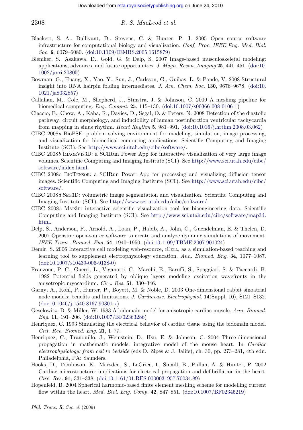## <span id="page-16-0"></span>2308 R. S. MacLeod et al.

- Bl[ackett, S. A.,](http://dx.doi.org/doi:10.1021/ja8032857) Bullivant, D., Stevens, C. & Hunter, P. J. 2005 Open source software infrastructure for computational biology and visualization. [Conf. Proc. IEEE Eng](http://dx.doi.org/doi:10.1007/s00366-008-0106-1). Med. Biol. Soc. 6, 6079–6080. (doi:10.1109/IEMBS.2005.1615879)
- Blemker, S., Asakawa, D., Gold, G. & Delp, S. 2007 Image-based musculoskeletal modeling: applications, advances, and future opportunities. J. Magn. Reson. Imaging 25[, 441–451. \(doi:1](http://dx.doi.org/doi:10.1016/j.hrthm.2008.03.062)0. 1002/jmri.20805)
- Bowman, G., Huang, X., Yao, Y., Sun, J., Carlsson, G., Guibas, L. & Pande, V. 2008 Structural insight into RNA h[airpin folding intermediates.](http://www.sci.utah.edu/cibc/software/) J. Am. Chem. Soc. 130, 9676–9678. (doi:10. 1021/ja8032857)
- Callahan, M., Cole, M., Shepherd, J., Stinstra, J. & Johnson, C. 2009 A meshing pipeline for biomedical computing. Eng. Comput. 25, 115–130. (doi:10.1007[/s00366-008-0106-1\)](http://www.sci.utah.edu/cibc/software/index.html)
- Ci[accio,](http://www.sci.utah.edu/cibc/software/index.html) [E.,](http://www.sci.utah.edu/cibc/software/index.html) [Chow,](http://www.sci.utah.edu/cibc/software/index.html) [A.,](http://www.sci.utah.edu/cibc/software/index.html) [K](http://www.sci.utah.edu/cibc/software/index.html)aba, R., Davies, D., Segal, O. & Peters, N. 2008 Detection of the diastolic pathway, circuit morphology, and inducibility of human postinfarction ventricular tachycardia from mapping in sinus rhythm. Heart Rhythm 5, 981–991. (doi[:10.1016/j.hrthm.2008.03.062\)](http://www.sci.utah.edu/cibc/software/)
- CI[BC](http://www.sci.utah.edu/cibc/software/) [2008](http://www.sci.utah.edu/cibc/software/)a BioPSE: problem solving environment for modeling, simulation, image processing, and visualization for biomedical computing applications. Scientific Computing and Imaging Institute (SCI ). See http://w[ww.sci.utah.edu/cibc/software/.](http://www.sci.utah.edu/cibc/software/)
- CIBC 2008b IMAGEVIS3D: a SCIRun Power App for interactive visualization of very large image volumes. Scientific Computing and Imaging Institute (SCI ). See [http://www.sci.utah.edu/cibc/](http://www.sci.utah.edu/cibc/software/map3d.html) [softw](http://www.sci.utah.edu/cibc/software/map3d.html)are/index.html.
- CIBC 2008c BIOTENSOR: a SCIRun Power App for processing and visualizing diffusion tensor images. Scientific Computing and Imaging I[nstitute \(SCI \). See](http://dx.doi.org/doi:10.1109/TBME.2007.901024) http://www.sci.utah.edu/cibc/ software/.
- CIBC 2008d SEG3D: volumetric image segmentation and visualization. Scientific Computing and Imaging Institute (SCI ). See http://www.sci.utah.edu/cibc/software/.
- CIBC 2008e [MAP3D:](http://dx.doi.org/doi:10.1007/s10439-006-9138-0) [interactive](http://dx.doi.org/doi:10.1007/s10439-006-9138-0) [s](http://dx.doi.org/doi:10.1007/s10439-006-9138-0)cientific visualization tool for bioengineering data. Scientific Computing and Imaging Institute (SCI ). See http://www.sci.utah.edu/cibc/software/map3d. html.
- Delp, S., Anderson, F., Arnold, A., Loan, P., Habib, A., John, C., Guendelman, E. & Thelen, D. 2007 Opensim: open-source software to create and analyze dynamic simulations of movement. IEEE Trans. Biomed. Eng. 54, 1940–1950. (doi:10.1109/TBME.2007.901024)
- De[mir,](http://dx.doi.org/doi:10.1046/j.1540.8167.90301.x) [S.](http://dx.doi.org/doi:10.1046/j.1540.8167.90301.x) [2006](http://dx.doi.org/doi:10.1046/j.1540.8167.90301.x) [Interactive](http://dx.doi.org/doi:10.1046/j.1540.8167.90301.x) [cell](http://dx.doi.org/doi:10.1046/j.1540.8167.90301.x) [mod](http://dx.doi.org/doi:10.1046/j.1540.8167.90301.x)eling web-resource, ICELL, as a simulation-based teaching and learning tool to supplement electrophysiology education. Ann. Biomed. Eng. 34, 1077–1087. (doi:10.1007/s1043[9-006-9138-0\)](http://dx.doi.org/doi:10.1007/BF02363286)
- Franzone, P. C., Guerri, L., Viganotti, C., Macchi, E., Baruffi, S., Spaggiari, S. & Taccardi, B. 1982 Potential fields generated by oblique layers modeling excitation wavefronts in the anisotropic myocardium. Circ. Res. 51, 330–346.
- Garny, A., Kohl, P., Hunter, P., Boyett, M. & Noble, D. 2003 One-dimensional rabbit sinoatrial node models: benefits and limitations. J. Cardiovasc. Electrophysiol. 14(Suppl. 10), S121–S132. (doi:10.1046/j.1540.8167.90301.x)
- Geselowitz, D. & Miller, W. 1983 A bidomain model for anisotropic cardiac muscle. Ann. Biomed. Eng. 11, 191–206. (doi:10.1007/BF02363286)
- Henriquez, C. 1993 Simulat[ing](http://dx.doi.org/doi:10.1161/01.RES.0000031957.70034.89) [the](http://dx.doi.org/doi:10.1161/01.RES.0000031957.70034.89) [electrical](http://dx.doi.org/doi:10.1161/01.RES.0000031957.70034.89) [behavior](http://dx.doi.org/doi:10.1161/01.RES.0000031957.70034.89) [of](http://dx.doi.org/doi:10.1161/01.RES.0000031957.70034.89) [cardiac](http://dx.doi.org/doi:10.1161/01.RES.0000031957.70034.89) [tissu](http://dx.doi.org/doi:10.1161/01.RES.0000031957.70034.89)e using the bidomain model. Crit. Rev. Biomed. Eng. 21, 1–77.
- Henriquez, C., Tranquillo, J., Weinstein, D., Hsu, E. & Joh[nson,](http://dx.doi.org/doi:10.1007/BF02345219) [C.](http://dx.doi.org/doi:10.1007/BF02345219) [2004](http://dx.doi.org/doi:10.1007/BF02345219) [Three-dim](http://dx.doi.org/doi:10.1007/BF02345219)ensional propagation in mathematic models: integrative model of the mouse heart. In Cardiac electrophysiology: from cell to bedside (eds D. Zipes & J. Jalife), ch. 30, pp. 273–281, 4th edn. Philadelphia, PA: Saunders.
- Hooks, D., Tomlinson, K., Marsden, S., LeGrice, I., Smaill, B., Pullan, A. & Hunter, P. 2002 Cardiac microstructure: implications for electrical propagation and defibrillation in the heart. Circ. Res. 91, 331–338. (doi:10.1161/01.RES.0000031957.70034.89)
- Hopenfeld, B. 2004 Spherical harmonic-based finite element meshing scheme for modelling current flow within the heart. Med. Biol. Eng. Comp. 42, 847–851. (doi:10.1007/BF02345219)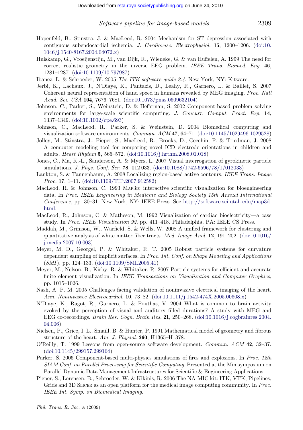- <span id="page-17-0"></span>Hopenfeld, B., Stinstra, J. & MacLeod, R. 2004 Mechanism for ST depression associated with contiguous subendocardial ischemia. [J.](http://dx.doi.org/doi:10.1073/pnas.0609632104) [Cardiovasc.](http://dx.doi.org/doi:10.1073/pnas.0609632104) [Electrop](http://dx.doi.org/doi:10.1073/pnas.0609632104)hysiol. 15, 1200–1206. (doi:10. 1046/j.1540-8167.2004.04072.x)
- Huiskamp, G., Vroeijenstijn, M., van Dijk, R., Wieneke, G. & van Huffelen, A. 1999 The need for correct reali[stic](http://dx.doi.org/doi:10.1002/cpe.693) [geometry](http://dx.doi.org/doi:10.1002/cpe.693) [in](http://dx.doi.org/doi:10.1002/cpe.693) [t](http://dx.doi.org/doi:10.1002/cpe.693)he inverse EEG problem. IEEE Trans. Biomed. Eng. 46, 1281–1287. (doi:10.1109/10.797987)
- Ibanez, L. & Schroeder, W. 2005 The ITK software guide 2.4. New [York,](http://dx.doi.org/doi:10.1145/1029496.1029528) [NY:](http://dx.doi.org/doi:10.1145/1029496.1029528) [Kitware.](http://dx.doi.org/doi:10.1145/1029496.1029528)
- Jerbi, K., Lachaux, J., N'Diaye, K., Pantazis, D., Leahy, R., Garnero, L. & Baillet, S. 2007 Coherent neural representation of hand speed in humans revealed by MEG imaging. Proc. Natl Acad. Sci. USA 104, 7676–7681. (d[oi:10.1073/pnas.0609632104\)](http://dx.doi.org/doi:10.1016/j.hrthm.2008.01.018)
- Johnson, C., Parker, S., Weinstein, D. & Heffernan, S. 2002 Component-based problem solving environments for large-scale scientific computing. [J.](http://dx.doi.org/doi:10.1088/1742-6596/78/1/012033) [Concurr.](http://dx.doi.org/doi:10.1088/1742-6596/78/1/012033) [Comput.](http://dx.doi.org/doi:10.1088/1742-6596/78/1/012033) [Prac](http://dx.doi.org/doi:10.1088/1742-6596/78/1/012033)t. Exp. 14, 1337–1349. (doi:10.1002/cpe.693)
- Johnson, C., Mac[Leod,](http://dx.doi.org/doi:10.1109/TIP.2007.912582) [R.,](http://dx.doi.org/doi:10.1109/TIP.2007.912582) [Parker,](http://dx.doi.org/doi:10.1109/TIP.2007.912582) [S.](http://dx.doi.org/doi:10.1109/TIP.2007.912582) [&](http://dx.doi.org/doi:10.1109/TIP.2007.912582) [W](http://dx.doi.org/doi:10.1109/TIP.2007.912582)einstein, D. 2004 Biomedical computing and visualization software environments. *Commun. ACM* 47, 64-71. (doi:10.1145/1029496.1029528)
- Jolley, M., Stinstra, J., Pieper, S., MacLeod, R., Brooks, D., Cecchin, F. & Triedman, J. 2008 A computer modeling tool for comparing novel ICD el[ectrode](http://software.sci.utah.edu/map3d.html) [orientations](http://software.sci.utah.edu/map3d.html) [in](http://software.sci.utah.edu/map3d.html) [children](http://software.sci.utah.edu/map3d.html) [and](http://software.sci.utah.edu/map3d.html) [adult](http://software.sci.utah.edu/map3d.html)s. Heart Rhythm 5, 565–572. (doi:10.1016/j.hrthm.2008.01.018)
- Jones, C., Ma, K.-L., Sanderson, A. & Myers, L. 2007 Visual interrogation of gyrokinetic particle simulations. J. Phys. Conf. Ser. 78, 012 033. (doi:10.1088/1742-6596/78/1/012033)
- Lankton, S. & Tannenbaum, A. 2008 Localizing region-based active contours. IEEE [Trans. Image](http://dx.doi.org/doi:10.1016/j.media.2007.10.003) Proc. 17, 1–11. (doi:10.1109/TIP.2007.912582)
- M[acLeod,](http://dx.doi.org/doi:10.1016/j.media.2007.10.003) [R.](http://dx.doi.org/doi:10.1016/j.media.2007.10.003) [&](http://dx.doi.org/doi:10.1016/j.media.2007.10.003) [Johns](http://dx.doi.org/doi:10.1016/j.media.2007.10.003)on, C. 1993 MAP3D: interactive scientific visualization for bioengineering data. In Proc. IEEE Engineering in Medicine and Biology Society 15th Annual International Conference, pp. 30–3[1. New York, NY: IEEE](http://dx.doi.org/doi:10.1109/SMI.2005.41) Press. See http://software.sci.utah.edu/map3d. html.
- MacLeod, R., Johnson, C. & Matheson, M. 1992 Visualization of cardiac bioelectricity—a case study. In Proc. IEEE Visualization 92, pp. 411–418. Philadelphia, PA: IEEE CS Press.
- Maddah, M., Grimson, W., Warfield, S. & Wells, W. 2008 A unified framework for clustering and quantitative analysis of white matter fiber tracts. *[Med. Image Anal.](http://dx.doi.org/doi:10.1111/j.1542-474X.2005.00608.x)* **12**, 191–202. (doi:10.1016/ j.media.2007.10.003)
- Meyer, M. D., Georgel, P. & Whitaker, R. T. 2005 Robust particle systems for curvature dependent sampling of implicit surfaces. In Proc. Int. Conf. on S[hape](http://dx.doi.org/doi:10.1016/j.cogbrainres.2004.04.006) [Modeling](http://dx.doi.org/doi:10.1016/j.cogbrainres.2004.04.006) [and](http://dx.doi.org/doi:10.1016/j.cogbrainres.2004.04.006) [Applications](http://dx.doi.org/doi:10.1016/j.cogbrainres.2004.04.006)  $(SMI)$ , pp. 124–133. (doi:10.1109/SMI.2005.41)
- M[eyer,](http://dx.doi.org/doi:10.1016/j.cogbrainres.2004.04.006) [M](http://dx.doi.org/doi:10.1016/j.cogbrainres.2004.04.006)., Nelson, B., Kirby, R. & Whitaker, R. 2007 Particle systems for efficient and accurate finite element visualization. In IEEE Transactions on Visualization and Computer Graphics, pp. 1015–1026.
- Nash, A. P. M. 2005 Challenges facing validation of noninvasive electrical imaging of the heart. [Ann.](http://dx.doi.org/doi:10.1145/299157.299164) [Noninvasive](http://dx.doi.org/doi:10.1145/299157.299164) [Electroca](http://dx.doi.org/doi:10.1145/299157.299164)rdiol. 10, 73–82. (doi:10.1111/j.1542-474X.2005.00608.x)
- N'Diaye, K., Ragot, R., Garnero, L. & Pouthas, V. 2004 What is common to brain activity evoked by the perception of visual and auditory filled durations? A study with MEG and EEG co-recordings. Brain Res. Cogn. Brain Res. 21, 250–268. (doi:10.1016/j.cogbrainres.2004. 04.006)
- Nielsen, P., Grice, I. L., Smaill, B. & Hunter, P. 1991 Mathematical model of geometry and fibrous structure of the heart. Am. J. Physiol. 260, H1365–H1378.
- O'Reilly, T. 1999 Lessons from open-source software development. Commun. ACM 42, 32–37. (doi:10.1145/299157.299164)
- Parker, S. 2006 Component-based multi-physics simulations of fires and explosions. In Proc. 12th SIAM Conf. on Parallel Processing for Scientific Computing. Presented at the Minisymposium on Parallel Dynamic Data Management Infrastructures for Scientific & Engineering Applications.
- Pieper, S., Lorensen, B., Schroeder, W. & Kikinis, R. 2006 The NA-MIC kit: ITK, VTK, Pipelines, Grids and 3D SLICER as an open platform for the medical image computing community. In Proc. IEEE Int. Symp. on Biomedical Imaging.